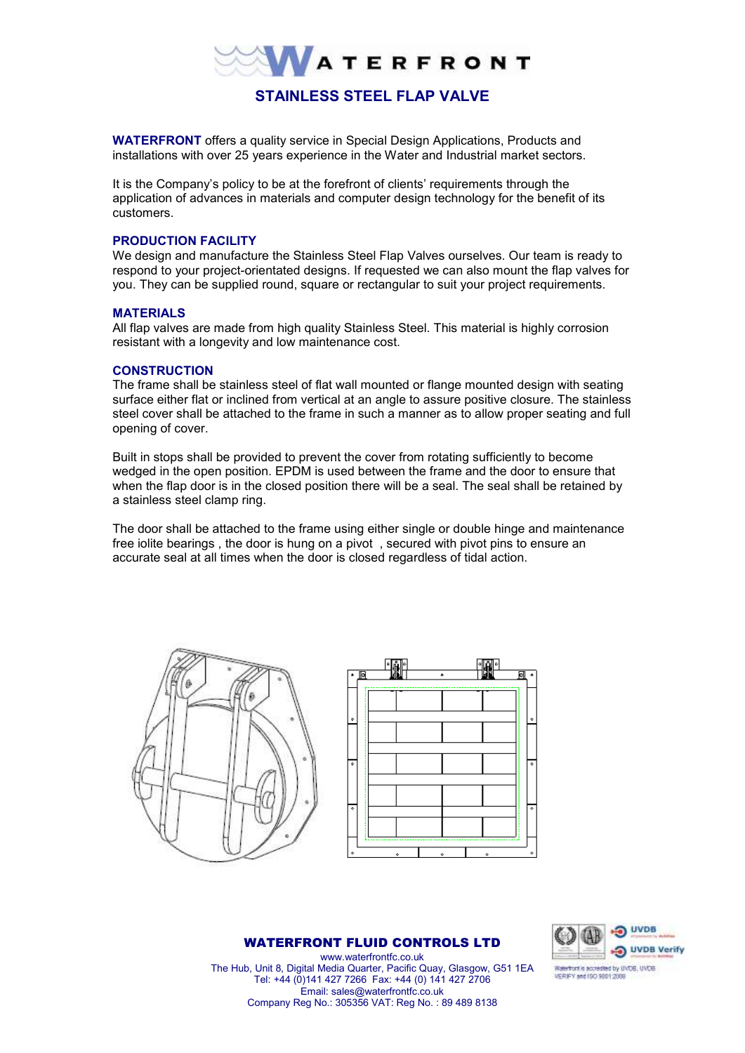

**WATERFRONT** offers a quality service in Special Design Applications, Products and installations with over 25 years experience in the Water and Industrial market sectors.

It is the Company's policy to be at the forefront of clients' requirements through the application of advances in materials and computer design technology for the benefit of its customers.

## **PRODUCTION FACILITY**

We design and manufacture the Stainless Steel Flap Valves ourselves. Our team is ready to respond to your project-orientated designs. If requested we can also mount the flap valves for you. They can be supplied round, square or rectangular to suit your project requirements.

#### **MATERIALS**

All flap valves are made from high quality Stainless Steel. This material is highly corrosion resistant with a longevity and low maintenance cost.

## **CONSTRUCTION**

The frame shall be stainless steel of flat wall mounted or flange mounted design with seating surface either flat or inclined from vertical at an angle to assure positive closure. The stainless steel cover shall be attached to the frame in such a manner as to allow proper seating and full opening of cover.

Built in stops shall be provided to prevent the cover from rotating sufficiently to become wedged in the open position. EPDM is used between the frame and the door to ensure that when the flap door is in the closed position there will be a seal. The seal shall be retained by a stainless steel clamp ring.

The door shall be attached to the frame using either single or double hinge and maintenance free iolite bearings , the door is hung on a pivot , secured with pivot pins to ensure an accurate seal at all times when the door is closed regardless of tidal action.





#### WATERFRONT FLUID CONTROLS LTD



www.waterfrontfc.co.uk The Hub, Unit 8, Digital Media Quarter, Pacific Quay, Glasgow, G51 1EA Tel: +44 (0)141 427 7266 Fax: +44 (0) 141 427 2706 Email: sales@waterfrontfc.co.uk Company Reg No.: 305356 VAT: Reg No. : 89 489 8138